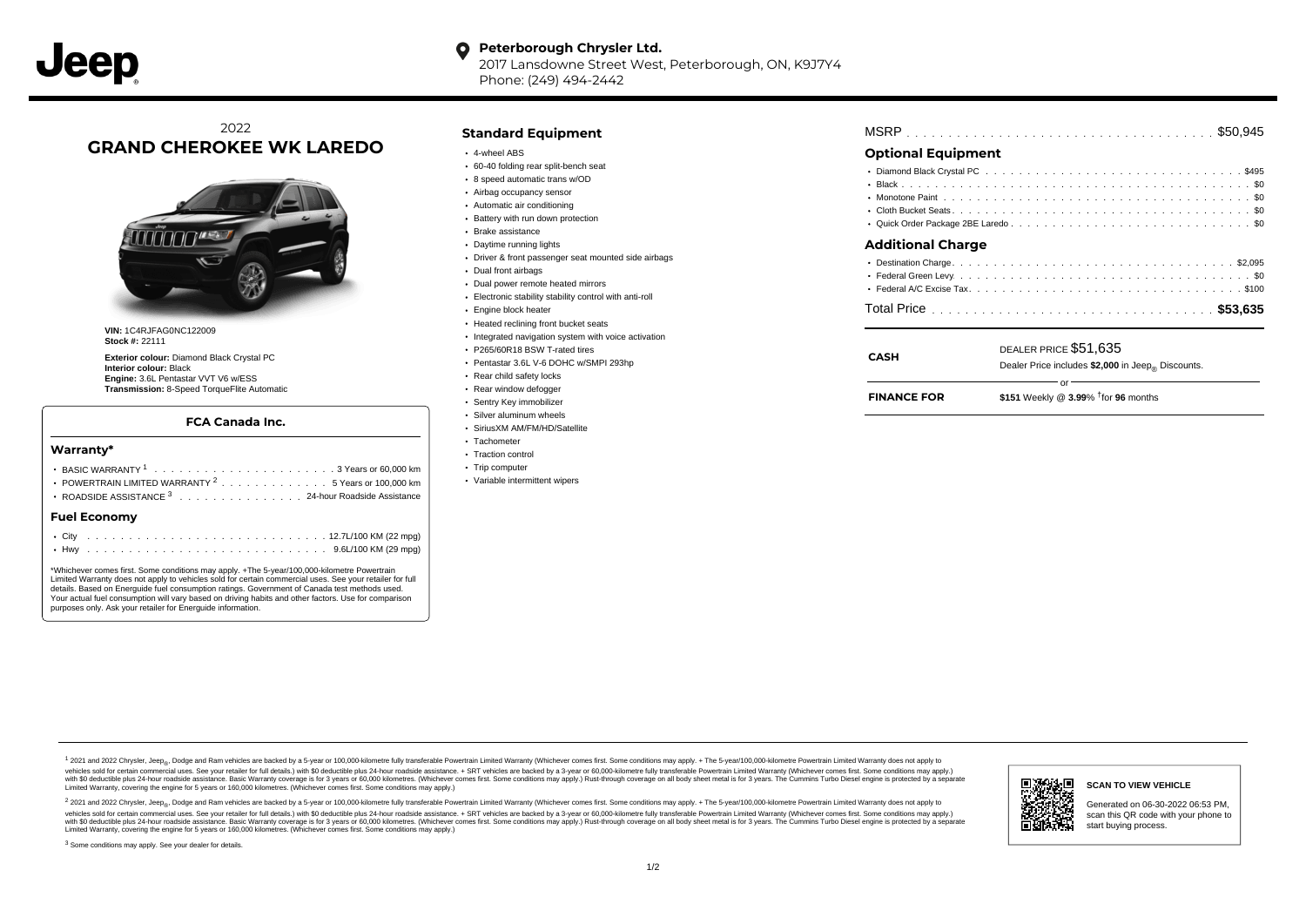#### $\bullet$ **Peterborough Chrysler Ltd.**

2017 Lansdowne Street West, Peterborough, ON, K9J7Y4 Phone: (249) 494-2442

# 2022 **GRAND CHEROKEE WK LAREDO**



**VIN:** 1C4RJFAG0NC122009 **Stock #:** 22111

**Exterior colour:** Diamond Black Crystal PC **Interior colour:** Black **Engine:** 3.6L Pentastar VVT V6 w/ESS **Transmission:** 8-Speed TorqueFlite Automatic

### **FCA Canada Inc.**

### **Warranty\***

| Fuel Economv                                                   |  |  |  |  |  |
|----------------------------------------------------------------|--|--|--|--|--|
| ROADSIDE ASSISTANCE 3 24-hour Roadside Assistance              |  |  |  |  |  |
| POWERTRAIN LIMITED WARRANTY <sup>2</sup> 5 Years or 100,000 km |  |  |  |  |  |
|                                                                |  |  |  |  |  |
|                                                                |  |  |  |  |  |

\*Whichever comes first. Some conditions may apply. +The 5-year/100,000-kilometre Powertrain Limited Warranty does not apply to vehicles sold for certain commercial uses. See your retailer for full details. Based on Energuide fuel consumption ratings. Government of Canada test methods used. Your actual fuel consumption will vary based on driving habits and other factors. Use for comparison purposes only. Ask your retailer for Energuide information.

## **Standard Equipment**

- 4-wheel ABS
- 60-40 folding rear split-bench seat
- 8 speed automatic trans w/OD
- Airbag occupancy sensor
- Automatic air conditioning
- Battery with run down protection
- Brake assistance
- Daytime running lights
- Driver & front passenger seat mounted side airbags
- Dual front airbags
- Dual power remote heated mirrors
- Electronic stability stability control with anti-roll
- Engine block heater
- Heated reclining front bucket seats
- Integrated navigation system with voice activation
- P265/60R18 BSW T-rated tires
- Pentastar 3.6L V-6 DOHC w/SMPI 293hp
- Rear child safety locks
- Rear window defogger
- Sentry Key immobilizer
- Silver aluminum wheels
- SiriusXM AM/FM/HD/Satellite
- Tachometer • Traction control
- 
- Trip computer
- Variable intermittent wipers

| <b>MSRP</b> |  |
|-------------|--|
|-------------|--|

# **Optional Equipment**

**CASH**

| <b>Additional Charge</b> |  |
|--------------------------|--|
|                          |  |
|                          |  |
|                          |  |
|                          |  |
|                          |  |

or

DEALER PRICE \$51,635

Dealer Price includes \$2,000 in Jeep<sub>®</sub> Discounts.

\$151 Weekly @ 3.99% <sup>†</sup> for 96 months **FINANCE FOR**

1 2021 and 2022 Chrysler, Jeep<sub>en</sub> Dodge and Ram vehicles are backed by a 5-year or 100,000-kilometre fully transferable Powertrain Limited Warranty (Whichever comes first. Some conditions may apply. + The 5-year/100,000-k vehicles sold for certain commercial uses. See your retailer for full details.) with \$0 deductible plus 24-hour roadside assistance. + SRT vehicles are backed by a 3-year or 60,000-kilometre fully transferable Powertrain L ventals and contract when the contract when the contract you contract when the contract when the control of the set of a set of a set of a set of 3 years of 60,000 kilometres. Whichever comes first. Some conditions may app Limited Warranty, covering the engine for 5 years or 160,000 kilometres. (Whichever comes first. Some conditions may apply.)

<sup>2</sup> 2021 and 2022 Chrysler, Jeep<sub>®</sub>, Dodge and Ram vehicles are backed by a 5-year or 100,000-kilometre fully transferable Powertrain Limited Warranty (Whichever comes first. Some conditions may apply. + The 5-year/100,000 vehicles sold for certain commercial uses. See your retailer for full details.) with SO deductible plus 24-hour roadside assistance. + SRT vehicles are backed by a 3-year or 60.000-kilometre fully transferable Powertrain L with S0 deductible plus 24-hour roadside assistance. Basic Warranty coverage is for 3 years or 60,000 kilometres. (Whichever comes first. Some conditions may apply.) Rust-through coverage on all body sheet metal is for 3 y



**SCAN TO VIEW VEHICLE**

Generated on 06-30-2022 06:53 PM, scan this QR code with your phone to start buying process.

<sup>3</sup> Some conditions may apply. See your dealer for details.